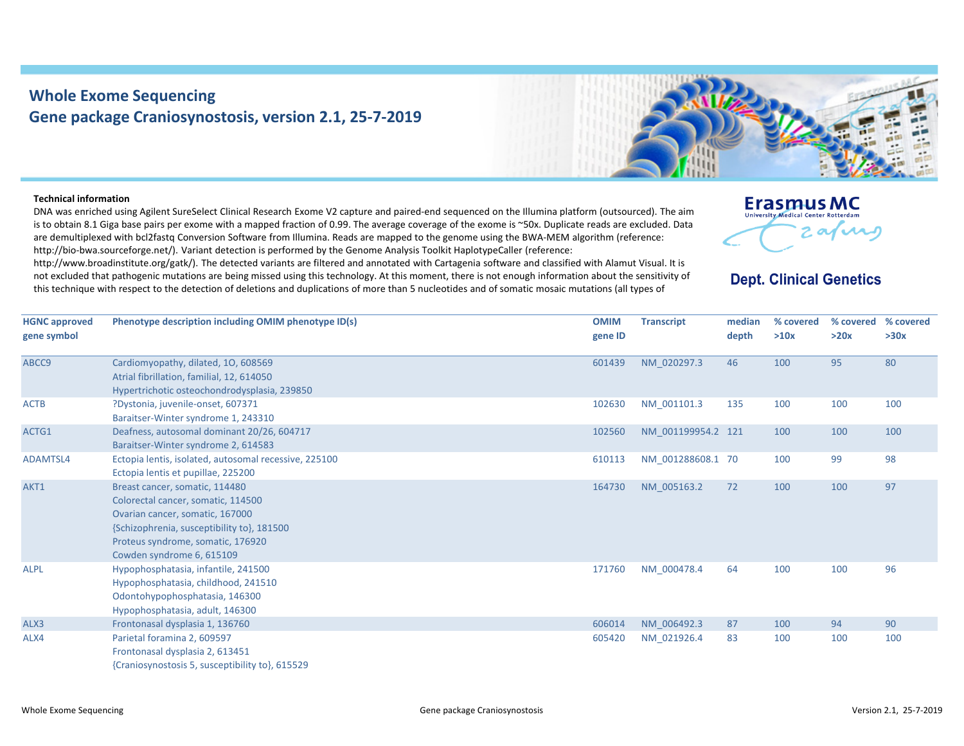## **Whole Exome Sequencing Gene package Craniosynostosis, version 2.1, 25‐7‐2019**



## **Technical information**

DNA was enriched using Agilent SureSelect Clinical Research Exome V2 capture and paired‐end sequenced on the Illumina platform (outsourced). The aim is to obtain 8.1 Giga base pairs per exome with <sup>a</sup> mapped fraction of 0.99. The average coverage of the exome is ~50x. Duplicate reads are excluded. Data are demultiplexed with bcl2fastq Conversion Software from Illumina. Reads are mapped to the genome using the BWA‐MEM algorithm (reference: http://bio-bwa.sourceforge.net/). Variant detection is performed by the Genome Analysis Toolkit HaplotypeCaller (reference:

http://www.broadinstitute.org/gatk/). The detected variants are filtered and annotated with Cartagenia software and classified with Alamut Visual. It is not excluded that pathogenic mutations are being missed using this technology. At this moment, there is not enough information about the sensitivity of this technique with respect to the detection of deletions and duplications of more than 5 nucleotides and of somatic mosaic mutations (all types of



## **Dept. Clinical Genetics**

| <b>HGNC approved</b> | Phenotype description including OMIM phenotype ID(s)  | <b>OMIM</b> | <b>Transcript</b>  | median | % covered | % covered | % covered |
|----------------------|-------------------------------------------------------|-------------|--------------------|--------|-----------|-----------|-----------|
| gene symbol          |                                                       | gene ID     |                    | depth  | >10x      | >20x      | >30x      |
| ABCC9                | Cardiomyopathy, dilated, 10, 608569                   | 601439      | NM 020297.3        | 46     | 100       | 95        | 80        |
|                      | Atrial fibrillation, familial, 12, 614050             |             |                    |        |           |           |           |
|                      | Hypertrichotic osteochondrodysplasia, 239850          |             |                    |        |           |           |           |
| <b>ACTB</b>          | ?Dystonia, juvenile-onset, 607371                     | 102630      | NM 001101.3        | 135    | 100       | 100       | 100       |
|                      | Baraitser-Winter syndrome 1, 243310                   |             |                    |        |           |           |           |
| ACTG1                | Deafness, autosomal dominant 20/26, 604717            | 102560      | NM 001199954.2 121 |        | 100       | 100       | 100       |
|                      | Baraitser-Winter syndrome 2, 614583                   |             |                    |        |           |           |           |
| ADAMTSL4             | Ectopia lentis, isolated, autosomal recessive, 225100 | 610113      | NM 001288608.1 70  |        | 100       | 99        | 98        |
|                      | Ectopia lentis et pupillae, 225200                    |             |                    |        |           |           |           |
| AKT1                 | Breast cancer, somatic, 114480                        | 164730      | NM 005163.2        | 72     | 100       | 100       | 97        |
|                      | Colorectal cancer, somatic, 114500                    |             |                    |        |           |           |           |
|                      | Ovarian cancer, somatic, 167000                       |             |                    |        |           |           |           |
|                      | {Schizophrenia, susceptibility to}, 181500            |             |                    |        |           |           |           |
|                      | Proteus syndrome, somatic, 176920                     |             |                    |        |           |           |           |
|                      | Cowden syndrome 6, 615109                             |             |                    |        |           |           |           |
| <b>ALPL</b>          | Hypophosphatasia, infantile, 241500                   | 171760      | NM 000478.4        | 64     | 100       | 100       | 96        |
|                      | Hypophosphatasia, childhood, 241510                   |             |                    |        |           |           |           |
|                      | Odontohypophosphatasia, 146300                        |             |                    |        |           |           |           |
|                      | Hypophosphatasia, adult, 146300                       |             |                    |        |           |           |           |
| ALX3                 | Frontonasal dysplasia 1, 136760                       | 606014      | NM 006492.3        | 87     | 100       | 94        | 90        |
| ALX4                 | Parietal foramina 2, 609597                           | 605420      | NM 021926.4        | 83     | 100       | 100       | 100       |
|                      | Frontonasal dysplasia 2, 613451                       |             |                    |        |           |           |           |
|                      | {Craniosynostosis 5, susceptibility to}, 615529       |             |                    |        |           |           |           |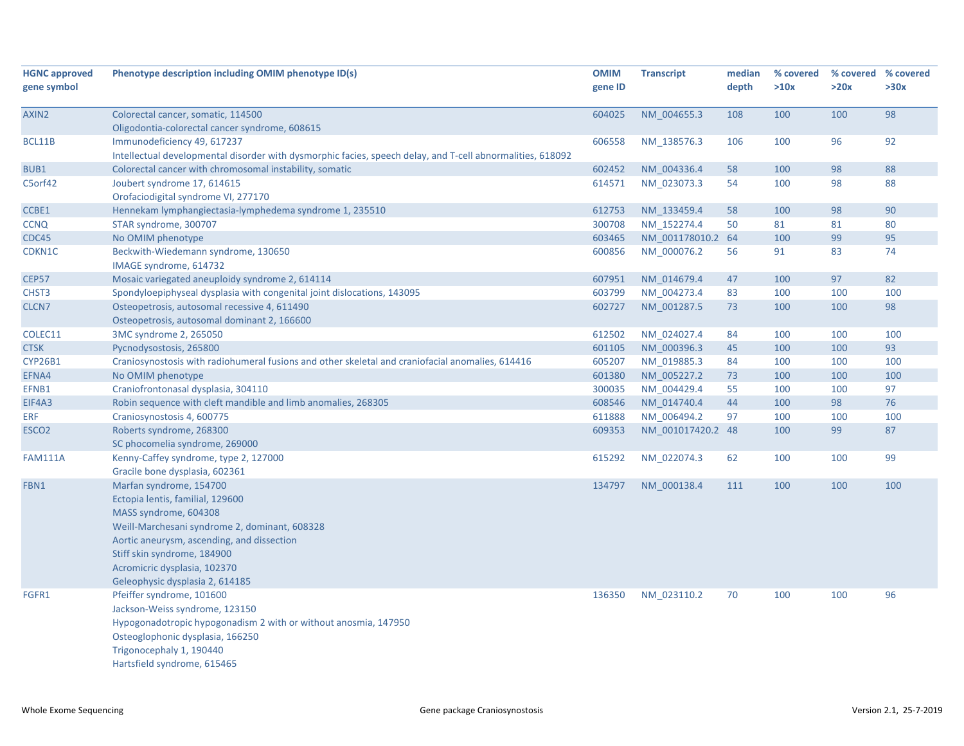| <b>HGNC approved</b><br>gene symbol | Phenotype description including OMIM phenotype ID(s)                                                                                      | <b>OMIM</b><br>gene ID | <b>Transcript</b> | median<br>depth | % covered<br>>10x | >20x | % covered % covered<br>>30x |
|-------------------------------------|-------------------------------------------------------------------------------------------------------------------------------------------|------------------------|-------------------|-----------------|-------------------|------|-----------------------------|
| AXIN2                               | Colorectal cancer, somatic, 114500                                                                                                        | 604025                 | NM 004655.3       | 108             | 100               | 100  | 98                          |
|                                     | Oligodontia-colorectal cancer syndrome, 608615                                                                                            |                        |                   |                 |                   |      |                             |
| BCL11B                              | Immunodeficiency 49, 617237<br>Intellectual developmental disorder with dysmorphic facies, speech delay, and T-cell abnormalities, 618092 | 606558                 | NM 138576.3       | 106             | 100               | 96   | 92                          |
| BUB1                                | Colorectal cancer with chromosomal instability, somatic                                                                                   | 602452                 | NM 004336.4       | 58              | 100               | 98   | 88                          |
| C5orf42                             | Joubert syndrome 17, 614615                                                                                                               | 614571                 | NM 023073.3       | 54              | 100               | 98   | 88                          |
|                                     | Orofaciodigital syndrome VI, 277170                                                                                                       |                        |                   |                 |                   |      |                             |
| CCBE1                               | Hennekam lymphangiectasia-lymphedema syndrome 1, 235510                                                                                   | 612753                 | NM 133459.4       | 58              | 100               | 98   | 90                          |
| <b>CCNQ</b>                         | STAR syndrome, 300707                                                                                                                     | 300708                 | NM 152274.4       | 50              | 81                | 81   | 80                          |
| CDC45                               | No OMIM phenotype                                                                                                                         | 603465                 | NM 001178010.2 64 |                 | 100               | 99   | 95                          |
| CDKN1C                              | Beckwith-Wiedemann syndrome, 130650                                                                                                       | 600856                 | NM_000076.2       | 56              | 91                | 83   | 74                          |
|                                     | IMAGE syndrome, 614732                                                                                                                    |                        |                   |                 |                   |      |                             |
| <b>CEP57</b>                        | Mosaic variegated aneuploidy syndrome 2, 614114                                                                                           | 607951                 | NM 014679.4       | 47              | 100               | 97   | 82                          |
| CHST <sub>3</sub>                   | Spondyloepiphyseal dysplasia with congenital joint dislocations, 143095                                                                   | 603799                 | NM 004273.4       | 83              | 100               | 100  | 100                         |
| CLCN7                               | Osteopetrosis, autosomal recessive 4, 611490                                                                                              | 602727                 | NM 001287.5       | 73              | 100               | 100  | 98                          |
|                                     | Osteopetrosis, autosomal dominant 2, 166600                                                                                               |                        |                   |                 |                   |      |                             |
| COLEC11                             | 3MC syndrome 2, 265050                                                                                                                    | 612502                 | NM 024027.4       | 84              | 100               | 100  | 100                         |
| <b>CTSK</b>                         | Pycnodysostosis, 265800                                                                                                                   | 601105                 | NM 000396.3       | 45              | 100               | 100  | 93                          |
| <b>CYP26B1</b>                      | Craniosynostosis with radiohumeral fusions and other skeletal and craniofacial anomalies, 614416                                          | 605207                 | NM 019885.3       | 84              | 100               | 100  | 100                         |
| EFNA4                               | No OMIM phenotype                                                                                                                         | 601380                 | NM_005227.2       | 73              | 100               | 100  | 100                         |
| EFNB1                               | Craniofrontonasal dysplasia, 304110                                                                                                       | 300035                 | NM 004429.4       | 55              | 100               | 100  | 97                          |
| EIF4A3                              | Robin sequence with cleft mandible and limb anomalies, 268305                                                                             | 608546                 | NM 014740.4       | 44              | 100               | 98   | 76                          |
| <b>ERF</b>                          | Craniosynostosis 4, 600775                                                                                                                | 611888                 | NM_006494.2       | 97              | 100               | 100  | 100                         |
| ESCO <sub>2</sub>                   | Roberts syndrome, 268300                                                                                                                  | 609353                 | NM_001017420.2 48 |                 | 100               | 99   | 87                          |
|                                     | SC phocomelia syndrome, 269000                                                                                                            |                        |                   |                 |                   |      |                             |
| <b>FAM111A</b>                      | Kenny-Caffey syndrome, type 2, 127000<br>Gracile bone dysplasia, 602361                                                                   | 615292                 | NM 022074.3       | 62              | 100               | 100  | 99                          |
| FBN1                                | Marfan syndrome, 154700<br>Ectopia lentis, familial, 129600                                                                               | 134797                 | NM 000138.4       | 111             | 100               | 100  | 100                         |
|                                     | MASS syndrome, 604308<br>Weill-Marchesani syndrome 2, dominant, 608328                                                                    |                        |                   |                 |                   |      |                             |
|                                     | Aortic aneurysm, ascending, and dissection<br>Stiff skin syndrome, 184900                                                                 |                        |                   |                 |                   |      |                             |
|                                     | Acromicric dysplasia, 102370                                                                                                              |                        |                   |                 |                   |      |                             |
|                                     | Geleophysic dysplasia 2, 614185                                                                                                           |                        |                   |                 |                   |      |                             |
| FGFR1                               | Pfeiffer syndrome, 101600                                                                                                                 | 136350                 | NM_023110.2       | 70              | 100               | 100  | 96                          |
|                                     | Jackson-Weiss syndrome, 123150                                                                                                            |                        |                   |                 |                   |      |                             |
|                                     | Hypogonadotropic hypogonadism 2 with or without anosmia, 147950                                                                           |                        |                   |                 |                   |      |                             |
|                                     | Osteoglophonic dysplasia, 166250                                                                                                          |                        |                   |                 |                   |      |                             |
|                                     | Trigonocephaly 1, 190440                                                                                                                  |                        |                   |                 |                   |      |                             |
|                                     | Hartsfield syndrome, 615465                                                                                                               |                        |                   |                 |                   |      |                             |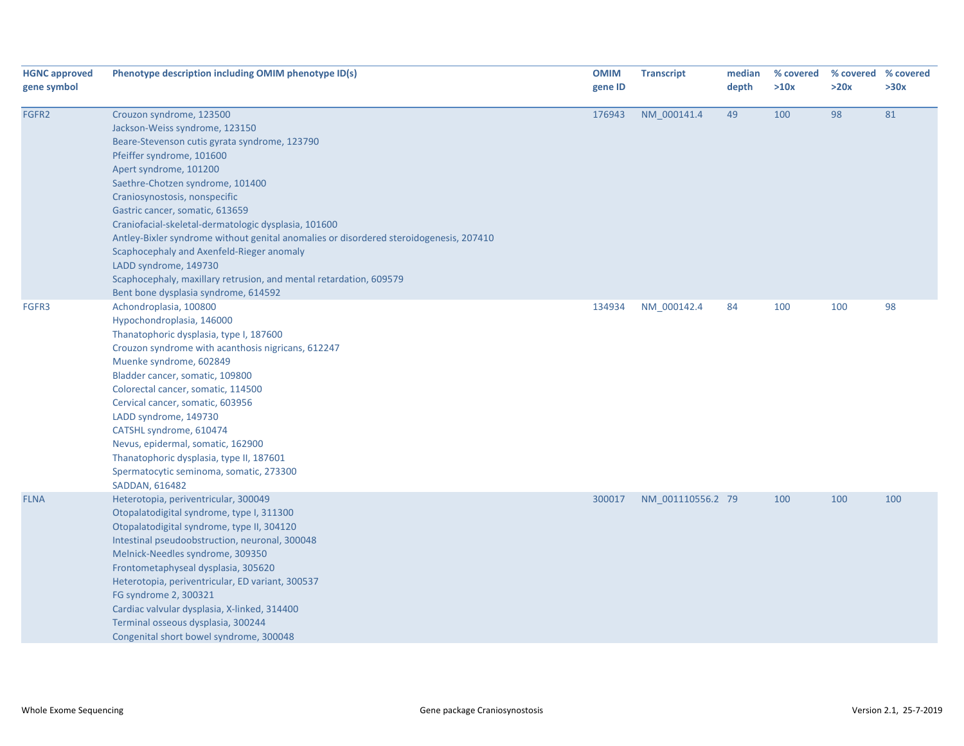| <b>HGNC approved</b><br>gene symbol | Phenotype description including OMIM phenotype ID(s)                                                                                                                                                                                                                                                                                                                                                                                                                                                                                                                                                             | <b>OMIM</b><br>gene ID | <b>Transcript</b> | median<br>depth | % covered<br>>10x | % covered % covered<br>>20x | >30x |
|-------------------------------------|------------------------------------------------------------------------------------------------------------------------------------------------------------------------------------------------------------------------------------------------------------------------------------------------------------------------------------------------------------------------------------------------------------------------------------------------------------------------------------------------------------------------------------------------------------------------------------------------------------------|------------------------|-------------------|-----------------|-------------------|-----------------------------|------|
| FGFR2                               | Crouzon syndrome, 123500<br>Jackson-Weiss syndrome, 123150<br>Beare-Stevenson cutis gyrata syndrome, 123790<br>Pfeiffer syndrome, 101600<br>Apert syndrome, 101200<br>Saethre-Chotzen syndrome, 101400<br>Craniosynostosis, nonspecific<br>Gastric cancer, somatic, 613659<br>Craniofacial-skeletal-dermatologic dysplasia, 101600<br>Antley-Bixler syndrome without genital anomalies or disordered steroidogenesis, 207410<br>Scaphocephaly and Axenfeld-Rieger anomaly<br>LADD syndrome, 149730<br>Scaphocephaly, maxillary retrusion, and mental retardation, 609579<br>Bent bone dysplasia syndrome, 614592 | 176943                 | NM_000141.4       | 49              | 100               | 98                          | 81   |
| FGFR3                               | Achondroplasia, 100800<br>Hypochondroplasia, 146000<br>Thanatophoric dysplasia, type I, 187600<br>Crouzon syndrome with acanthosis nigricans, 612247<br>Muenke syndrome, 602849<br>Bladder cancer, somatic, 109800<br>Colorectal cancer, somatic, 114500<br>Cervical cancer, somatic, 603956<br>LADD syndrome, 149730<br>CATSHL syndrome, 610474<br>Nevus, epidermal, somatic, 162900<br>Thanatophoric dysplasia, type II, 187601<br>Spermatocytic seminoma, somatic, 273300<br>SADDAN, 616482                                                                                                                   | 134934                 | NM_000142.4       | 84              | 100               | 100                         | 98   |
| <b>FLNA</b>                         | Heterotopia, periventricular, 300049<br>Otopalatodigital syndrome, type I, 311300<br>Otopalatodigital syndrome, type II, 304120<br>Intestinal pseudoobstruction, neuronal, 300048<br>Melnick-Needles syndrome, 309350<br>Frontometaphyseal dysplasia, 305620<br>Heterotopia, periventricular, ED variant, 300537<br>FG syndrome 2, 300321<br>Cardiac valvular dysplasia, X-linked, 314400<br>Terminal osseous dysplasia, 300244<br>Congenital short bowel syndrome, 300048                                                                                                                                       | 300017                 | NM 001110556.2 79 |                 | 100               | 100                         | 100  |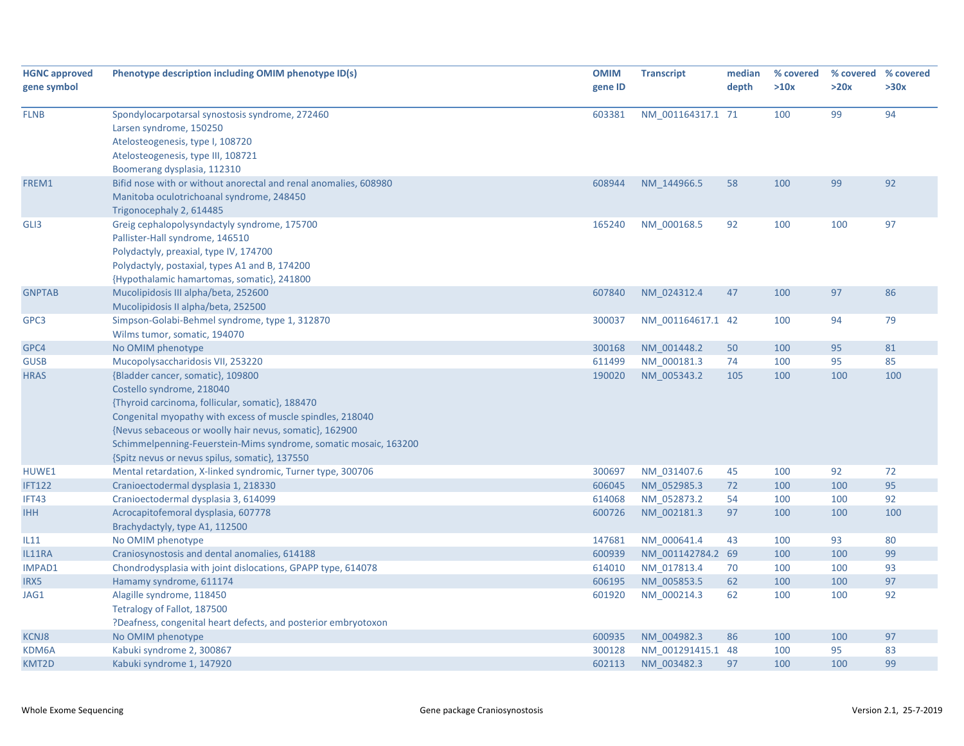| <b>HGNC approved</b> | Phenotype description including OMIM phenotype ID(s)             | <b>OMIM</b> | <b>Transcript</b> | median | % covered | % covered % covered |      |
|----------------------|------------------------------------------------------------------|-------------|-------------------|--------|-----------|---------------------|------|
| gene symbol          |                                                                  | gene ID     |                   | depth  | >10x      | >20x                | >30x |
|                      |                                                                  |             |                   |        |           |                     |      |
| <b>FLNB</b>          | Spondylocarpotarsal synostosis syndrome, 272460                  | 603381      | NM 001164317.1 71 |        | 100       | 99                  | 94   |
|                      | Larsen syndrome, 150250                                          |             |                   |        |           |                     |      |
|                      | Atelosteogenesis, type I, 108720                                 |             |                   |        |           |                     |      |
|                      | Atelosteogenesis, type III, 108721                               |             |                   |        |           |                     |      |
|                      | Boomerang dysplasia, 112310                                      |             |                   |        |           |                     |      |
| FREM1                | Bifid nose with or without anorectal and renal anomalies, 608980 | 608944      | NM 144966.5       | 58     | 100       | 99                  | 92   |
|                      | Manitoba oculotrichoanal syndrome, 248450                        |             |                   |        |           |                     |      |
|                      | Trigonocephaly 2, 614485                                         |             |                   |        |           |                     |      |
| GLI3                 | Greig cephalopolysyndactyly syndrome, 175700                     | 165240      | NM 000168.5       | 92     | 100       | 100                 | 97   |
|                      | Pallister-Hall syndrome, 146510                                  |             |                   |        |           |                     |      |
|                      | Polydactyly, preaxial, type IV, 174700                           |             |                   |        |           |                     |      |
|                      | Polydactyly, postaxial, types A1 and B, 174200                   |             |                   |        |           |                     |      |
|                      | {Hypothalamic hamartomas, somatic}, 241800                       |             |                   |        |           |                     |      |
| <b>GNPTAB</b>        | Mucolipidosis III alpha/beta, 252600                             | 607840      | NM 024312.4       | 47     | 100       | 97                  | 86   |
|                      | Mucolipidosis II alpha/beta, 252500                              |             |                   |        |           |                     |      |
| GPC3                 | Simpson-Golabi-Behmel syndrome, type 1, 312870                   | 300037      | NM 001164617.1 42 |        | 100       | 94                  | 79   |
|                      | Wilms tumor, somatic, 194070                                     |             |                   |        |           |                     |      |
| GPC4                 | No OMIM phenotype                                                | 300168      | NM 001448.2       | 50     | 100       | 95                  | 81   |
| <b>GUSB</b>          | Mucopolysaccharidosis VII, 253220                                | 611499      | NM_000181.3       | 74     | 100       | 95                  | 85   |
| <b>HRAS</b>          | {Bladder cancer, somatic}, 109800                                | 190020      | NM 005343.2       | 105    | 100       | 100                 | 100  |
|                      | Costello syndrome, 218040                                        |             |                   |        |           |                     |      |
|                      | {Thyroid carcinoma, follicular, somatic}, 188470                 |             |                   |        |           |                     |      |
|                      | Congenital myopathy with excess of muscle spindles, 218040       |             |                   |        |           |                     |      |
|                      | {Nevus sebaceous or woolly hair nevus, somatic}, 162900          |             |                   |        |           |                     |      |
|                      | Schimmelpenning-Feuerstein-Mims syndrome, somatic mosaic, 163200 |             |                   |        |           |                     |      |
|                      | {Spitz nevus or nevus spilus, somatic}, 137550                   |             |                   |        |           |                     |      |
| HUWE1                | Mental retardation, X-linked syndromic, Turner type, 300706      | 300697      | NM 031407.6       | 45     | 100       | 92                  | 72   |
| <b>IFT122</b>        | Cranioectodermal dysplasia 1, 218330                             | 606045      | NM 052985.3       | 72     | 100       | 100                 | 95   |
| IFT43                | Cranioectodermal dysplasia 3, 614099                             | 614068      | NM 052873.2       | 54     | 100       | 100                 | 92   |
| <b>IHH</b>           | Acrocapitofemoral dysplasia, 607778                              | 600726      | NM 002181.3       | 97     | 100       | 100                 | 100  |
|                      | Brachydactyly, type A1, 112500                                   |             |                   |        |           |                     |      |
| IL11                 | No OMIM phenotype                                                | 147681      | NM 000641.4       | 43     | 100       | 93                  | 80   |
| IL11RA               | Craniosynostosis and dental anomalies, 614188                    | 600939      | NM 001142784.2 69 |        | 100       | 100                 | 99   |
| IMPAD1               | Chondrodysplasia with joint dislocations, GPAPP type, 614078     | 614010      | NM 017813.4       | 70     | 100       | 100                 | 93   |
| IRX5                 | Hamamy syndrome, 611174                                          | 606195      | NM 005853.5       | 62     | 100       | 100                 | 97   |
| JAG1                 | Alagille syndrome, 118450                                        | 601920      | NM 000214.3       | 62     | 100       | 100                 | 92   |
|                      | Tetralogy of Fallot, 187500                                      |             |                   |        |           |                     |      |
|                      | ?Deafness, congenital heart defects, and posterior embryotoxon   |             |                   |        |           |                     |      |
| <b>KCNJ8</b>         | No OMIM phenotype                                                | 600935      | NM 004982.3       | 86     | 100       | 100                 | 97   |
| KDM6A                | Kabuki syndrome 2, 300867                                        | 300128      | NM_001291415.1 48 |        | 100       | 95                  | 83   |
| KMT2D                | Kabuki syndrome 1, 147920                                        | 602113      | NM_003482.3       | 97     | 100       | 100                 | 99   |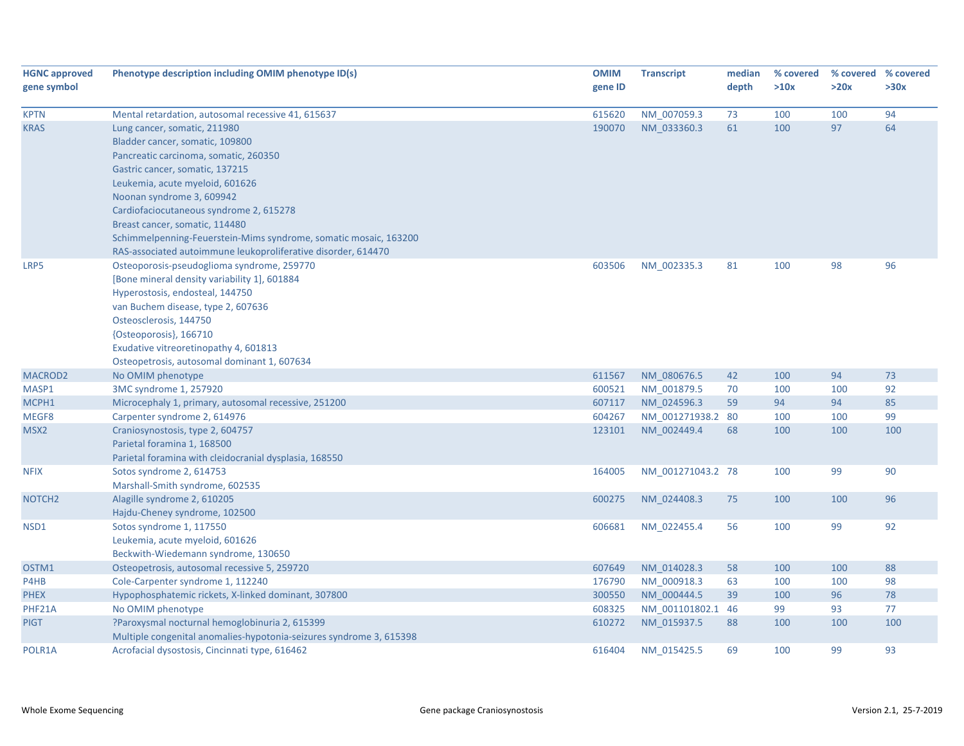| <b>HGNC approved</b><br>gene symbol | Phenotype description including OMIM phenotype ID(s)                | <b>OMIM</b><br>gene ID | <b>Transcript</b> | median<br>depth | % covered<br>>10x | % covered % covered<br>>20x | >30x |
|-------------------------------------|---------------------------------------------------------------------|------------------------|-------------------|-----------------|-------------------|-----------------------------|------|
| <b>KPTN</b>                         | Mental retardation, autosomal recessive 41, 615637                  | 615620                 | NM_007059.3       | 73              | 100               | 100                         | 94   |
| <b>KRAS</b>                         | Lung cancer, somatic, 211980                                        | 190070                 | NM 033360.3       | 61              | 100               | 97                          | 64   |
|                                     | Bladder cancer, somatic, 109800                                     |                        |                   |                 |                   |                             |      |
|                                     | Pancreatic carcinoma, somatic, 260350                               |                        |                   |                 |                   |                             |      |
|                                     | Gastric cancer, somatic, 137215                                     |                        |                   |                 |                   |                             |      |
|                                     | Leukemia, acute myeloid, 601626                                     |                        |                   |                 |                   |                             |      |
|                                     | Noonan syndrome 3, 609942                                           |                        |                   |                 |                   |                             |      |
|                                     | Cardiofaciocutaneous syndrome 2, 615278                             |                        |                   |                 |                   |                             |      |
|                                     | Breast cancer, somatic, 114480                                      |                        |                   |                 |                   |                             |      |
|                                     | Schimmelpenning-Feuerstein-Mims syndrome, somatic mosaic, 163200    |                        |                   |                 |                   |                             |      |
|                                     | RAS-associated autoimmune leukoproliferative disorder, 614470       |                        |                   |                 |                   |                             |      |
| LRP5                                | Osteoporosis-pseudoglioma syndrome, 259770                          | 603506                 | NM 002335.3       | 81              | 100               | 98                          | 96   |
|                                     | [Bone mineral density variability 1], 601884                        |                        |                   |                 |                   |                             |      |
|                                     | Hyperostosis, endosteal, 144750                                     |                        |                   |                 |                   |                             |      |
|                                     | van Buchem disease, type 2, 607636                                  |                        |                   |                 |                   |                             |      |
|                                     | Osteosclerosis, 144750                                              |                        |                   |                 |                   |                             |      |
|                                     | {Osteoporosis}, 166710                                              |                        |                   |                 |                   |                             |      |
|                                     | Exudative vitreoretinopathy 4, 601813                               |                        |                   |                 |                   |                             |      |
|                                     | Osteopetrosis, autosomal dominant 1, 607634                         |                        |                   |                 |                   |                             |      |
| MACROD <sub>2</sub>                 | No OMIM phenotype                                                   | 611567                 | NM 080676.5       | 42              | 100               | 94                          | 73   |
| MASP1                               | 3MC syndrome 1, 257920                                              | 600521                 | NM_001879.5       | 70              | 100               | 100                         | 92   |
| MCPH1                               | Microcephaly 1, primary, autosomal recessive, 251200                | 607117                 | NM 024596.3       | 59              | 94                | 94                          | 85   |
| MEGF8                               | Carpenter syndrome 2, 614976                                        | 604267                 | NM 001271938.2 80 |                 | 100               | 100                         | 99   |
| MSX <sub>2</sub>                    | Craniosynostosis, type 2, 604757                                    | 123101                 | NM_002449.4       | 68              | 100               | 100                         | 100  |
|                                     | Parietal foramina 1, 168500                                         |                        |                   |                 |                   |                             |      |
|                                     | Parietal foramina with cleidocranial dysplasia, 168550              |                        |                   |                 |                   |                             |      |
| <b>NFIX</b>                         | Sotos syndrome 2, 614753                                            | 164005                 | NM_001271043.2 78 |                 | 100               | 99                          | 90   |
|                                     | Marshall-Smith syndrome, 602535                                     |                        |                   |                 |                   |                             |      |
| NOTCH <sub>2</sub>                  | Alagille syndrome 2, 610205                                         | 600275                 | NM 024408.3       | 75              | 100               | 100                         | 96   |
|                                     | Hajdu-Cheney syndrome, 102500                                       |                        |                   |                 |                   |                             |      |
| NSD1                                | Sotos syndrome 1, 117550                                            | 606681                 | NM_022455.4       | 56              | 100               | 99                          | 92   |
|                                     | Leukemia, acute myeloid, 601626                                     |                        |                   |                 |                   |                             |      |
|                                     | Beckwith-Wiedemann syndrome, 130650                                 |                        |                   |                 |                   |                             |      |
| OSTM1                               | Osteopetrosis, autosomal recessive 5, 259720                        | 607649                 | NM 014028.3       | 58              | 100               | 100                         | 88   |
| P4HB                                | Cole-Carpenter syndrome 1, 112240                                   | 176790                 | NM_000918.3       | 63              | 100               | 100                         | 98   |
| <b>PHEX</b>                         | Hypophosphatemic rickets, X-linked dominant, 307800                 | 300550                 | NM 000444.5       | 39              | 100               | 96                          | 78   |
| PHF21A                              | No OMIM phenotype                                                   | 608325                 | NM 001101802.1    | 46              | 99                | 93                          | 77   |
| <b>PIGT</b>                         | ?Paroxysmal nocturnal hemoglobinuria 2, 615399                      | 610272                 | NM 015937.5       | 88              | 100               | 100                         | 100  |
|                                     | Multiple congenital anomalies-hypotonia-seizures syndrome 3, 615398 |                        |                   |                 |                   |                             |      |
| POLR1A                              | Acrofacial dysostosis, Cincinnati type, 616462                      | 616404                 | NM 015425.5       | 69              | 100               | 99                          | 93   |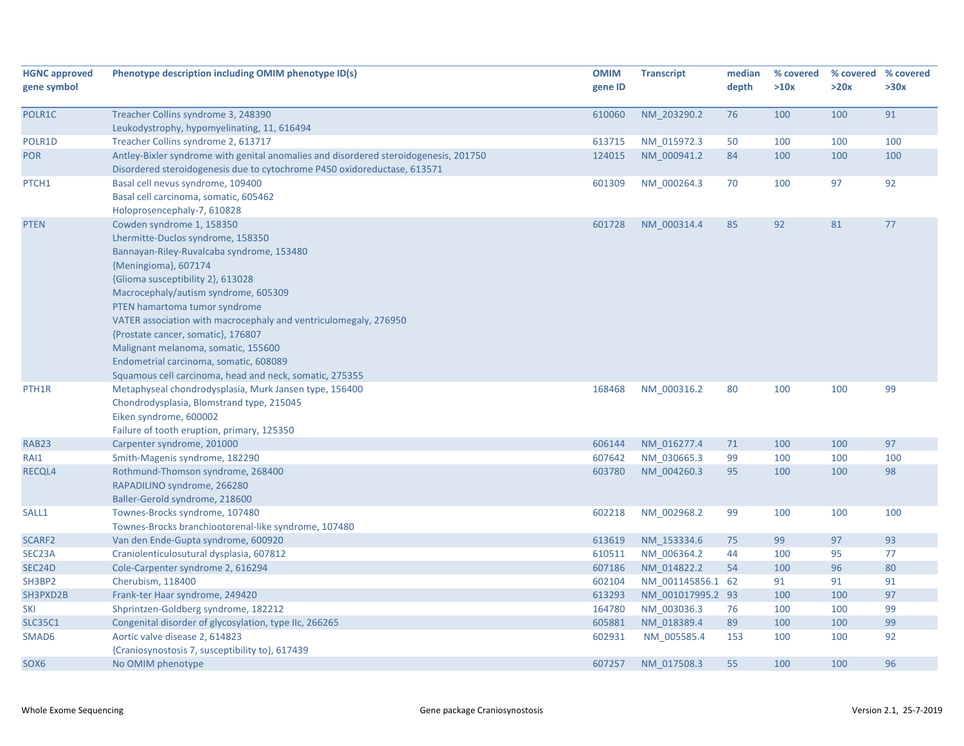| <b>HGNC approved</b> | Phenotype description including OMIM phenotype ID(s)                                 | <b>OMIM</b> | <b>Transcript</b> | median | % covered | % covered | % covered |
|----------------------|--------------------------------------------------------------------------------------|-------------|-------------------|--------|-----------|-----------|-----------|
| gene symbol          |                                                                                      | gene ID     |                   | depth  | >10x      | >20x      | >30x      |
|                      |                                                                                      |             |                   |        |           |           |           |
| POLR1C               | Treacher Collins syndrome 3, 248390                                                  | 610060      | NM 203290.2       | 76     | 100       | 100       | 91        |
|                      | Leukodystrophy, hypomyelinating, 11, 616494                                          |             |                   |        |           |           |           |
| POLR1D               | Treacher Collins syndrome 2, 613717                                                  | 613715      | NM 015972.3       | 50     | 100       | 100       | 100       |
| <b>POR</b>           | Antley-Bixler syndrome with genital anomalies and disordered steroidogenesis, 201750 | 124015      | NM_000941.2       | 84     | 100       | 100       | 100       |
|                      | Disordered steroidogenesis due to cytochrome P450 oxidoreductase, 613571             |             |                   |        |           |           |           |
| PTCH1                | Basal cell nevus syndrome, 109400                                                    | 601309      | NM 000264.3       | 70     | 100       | 97        | 92        |
|                      | Basal cell carcinoma, somatic, 605462                                                |             |                   |        |           |           |           |
|                      | Holoprosencephaly-7, 610828                                                          |             |                   |        |           |           |           |
| <b>PTEN</b>          | Cowden syndrome 1, 158350                                                            | 601728      | NM 000314.4       | 85     | 92        | 81        | 77        |
|                      | Lhermitte-Duclos syndrome, 158350                                                    |             |                   |        |           |           |           |
|                      | Bannayan-Riley-Ruvalcaba syndrome, 153480                                            |             |                   |        |           |           |           |
|                      | {Meningioma}, 607174                                                                 |             |                   |        |           |           |           |
|                      | {Glioma susceptibility 2}, 613028                                                    |             |                   |        |           |           |           |
|                      | Macrocephaly/autism syndrome, 605309                                                 |             |                   |        |           |           |           |
|                      | PTEN hamartoma tumor syndrome                                                        |             |                   |        |           |           |           |
|                      | VATER association with macrocephaly and ventriculomegaly, 276950                     |             |                   |        |           |           |           |
|                      | {Prostate cancer, somatic}, 176807                                                   |             |                   |        |           |           |           |
|                      | Malignant melanoma, somatic, 155600                                                  |             |                   |        |           |           |           |
|                      | Endometrial carcinoma, somatic, 608089                                               |             |                   |        |           |           |           |
|                      | Squamous cell carcinoma, head and neck, somatic, 275355                              |             |                   |        |           |           |           |
| PTH <sub>1</sub> R   | Metaphyseal chondrodysplasia, Murk Jansen type, 156400                               | 168468      | NM 000316.2       | 80     | 100       | 100       | 99        |
|                      | Chondrodysplasia, Blomstrand type, 215045                                            |             |                   |        |           |           |           |
|                      | Eiken syndrome, 600002                                                               |             |                   |        |           |           |           |
|                      | Failure of tooth eruption, primary, 125350                                           |             |                   |        |           |           |           |
| RAB <sub>23</sub>    | Carpenter syndrome, 201000                                                           | 606144      | NM 016277.4       | 71     | 100       | 100       | 97        |
| RAI1                 | Smith-Magenis syndrome, 182290                                                       | 607642      | NM 030665.3       | 99     | 100       | 100       | 100       |
| RECQL4               | Rothmund-Thomson syndrome, 268400                                                    | 603780      | NM 004260.3       | 95     | 100       | 100       | 98        |
|                      | RAPADILINO syndrome, 266280                                                          |             |                   |        |           |           |           |
|                      | Baller-Gerold syndrome, 218600                                                       |             |                   |        |           |           |           |
| SALL1                | Townes-Brocks syndrome, 107480                                                       | 602218      | NM_002968.2       | 99     | 100       | 100       | 100       |
|                      | Townes-Brocks branchiootorenal-like syndrome, 107480                                 |             |                   |        |           |           |           |
| SCARF2               | Van den Ende-Gupta syndrome, 600920                                                  | 613619      | NM 153334.6       | 75     | 99        | 97        | 93        |
| SEC <sub>23</sub> A  | Craniolenticulosutural dysplasia, 607812                                             | 610511      | NM 006364.2       | 44     | 100       | 95        | 77        |
| SEC24D               | Cole-Carpenter syndrome 2, 616294                                                    | 607186      | NM 014822.2       | 54     | 100       | 96        | 80        |
| SH3BP2               | Cherubism, 118400                                                                    | 602104      | NM 001145856.1 62 |        | 91        | 91        | 91        |
| SH3PXD2B             | Frank-ter Haar syndrome, 249420                                                      | 613293      | NM 001017995.2 93 |        | 100       | 100       | 97        |
| SKI                  | Shprintzen-Goldberg syndrome, 182212                                                 | 164780      | NM 003036.3       | 76     | 100       | 100       | 99        |
| <b>SLC35C1</b>       | Congenital disorder of glycosylation, type IIc, 266265                               | 605881      | NM 018389.4       | 89     | 100       | 100       | 99        |
| SMAD6                | Aortic valve disease 2, 614823                                                       | 602931      | NM 005585.4       | 153    | 100       | 100       | 92        |
|                      | {Craniosynostosis 7, susceptibility to}, 617439                                      |             |                   |        |           |           |           |
| SOX6                 | No OMIM phenotype                                                                    | 607257      | NM 017508.3       | 55     | 100       | 100       | 96        |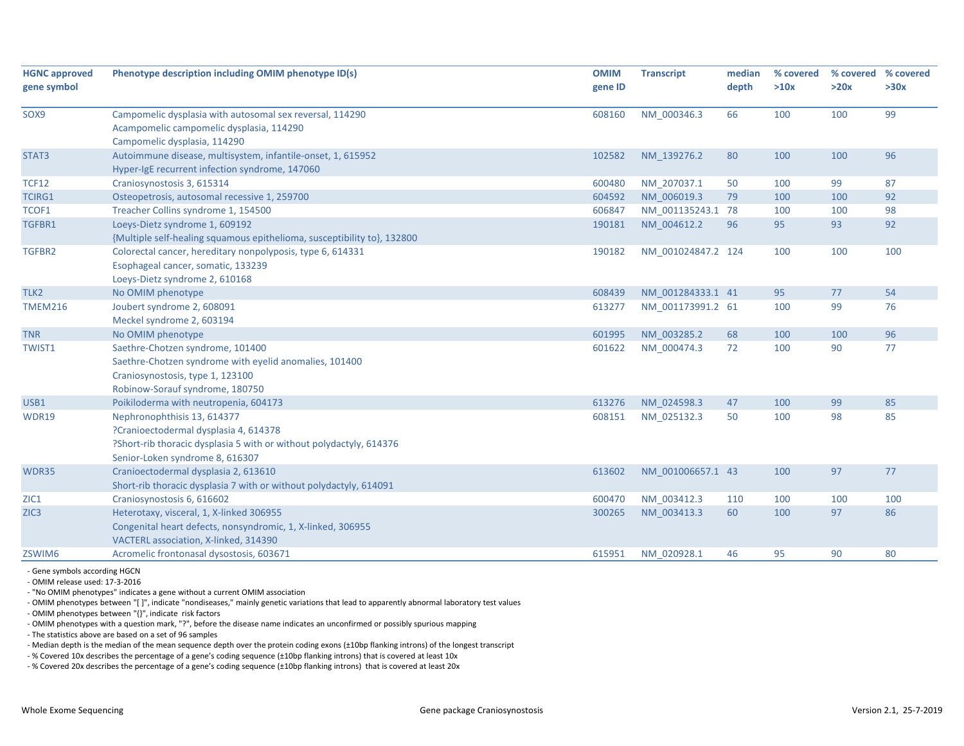| <b>HGNC approved</b> | Phenotype description including OMIM phenotype ID(s)                                                                                  | <b>OMIM</b> | <b>Transcript</b>  | median | % covered | % covered | % covered |
|----------------------|---------------------------------------------------------------------------------------------------------------------------------------|-------------|--------------------|--------|-----------|-----------|-----------|
| gene symbol          |                                                                                                                                       | gene ID     |                    | depth  | >10x      | >20x      | >30x      |
| SOX9                 | Campomelic dysplasia with autosomal sex reversal, 114290                                                                              | 608160      | NM 000346.3        | 66     | 100       | 100       | 99        |
|                      | Acampomelic campomelic dysplasia, 114290                                                                                              |             |                    |        |           |           |           |
|                      | Campomelic dysplasia, 114290                                                                                                          |             |                    |        |           |           |           |
| STAT3                | Autoimmune disease, multisystem, infantile-onset, 1, 615952                                                                           | 102582      | NM 139276.2        | 80     | 100       | 100       | 96        |
|                      | Hyper-IgE recurrent infection syndrome, 147060                                                                                        |             |                    |        |           |           |           |
| <b>TCF12</b>         | Craniosynostosis 3, 615314                                                                                                            | 600480      | NM 207037.1        | 50     | 100       | 99        | 87        |
| <b>TCIRG1</b>        | Osteopetrosis, autosomal recessive 1, 259700                                                                                          | 604592      | NM_006019.3        | 79     | 100       | 100       | 92        |
| TCOF1                | Treacher Collins syndrome 1, 154500                                                                                                   | 606847      | NM 001135243.1 78  |        | 100       | 100       | 98        |
| TGFBR1               | Loeys-Dietz syndrome 1, 609192                                                                                                        | 190181      | NM 004612.2        | 96     | 95        | 93        | 92        |
| TGFBR2               | {Multiple self-healing squamous epithelioma, susceptibility to}, 132800<br>Colorectal cancer, hereditary nonpolyposis, type 6, 614331 | 190182      | NM 001024847.2 124 |        | 100       | 100       | 100       |
|                      | Esophageal cancer, somatic, 133239                                                                                                    |             |                    |        |           |           |           |
|                      | Loeys-Dietz syndrome 2, 610168                                                                                                        |             |                    |        |           |           |           |
| TLK2                 | No OMIM phenotype                                                                                                                     | 608439      | NM 001284333.1 41  |        | 95        | 77        | 54        |
| <b>TMEM216</b>       | Joubert syndrome 2, 608091                                                                                                            | 613277      | NM 001173991.2 61  |        | 100       | 99        | 76        |
|                      | Meckel syndrome 2, 603194                                                                                                             |             |                    |        |           |           |           |
| <b>TNR</b>           | No OMIM phenotype                                                                                                                     | 601995      | NM 003285.2        | 68     | 100       | 100       | 96        |
| <b>TWIST1</b>        | Saethre-Chotzen syndrome, 101400                                                                                                      | 601622      | NM 000474.3        | 72     | 100       | 90        | 77        |
|                      | Saethre-Chotzen syndrome with eyelid anomalies, 101400                                                                                |             |                    |        |           |           |           |
|                      | Craniosynostosis, type 1, 123100                                                                                                      |             |                    |        |           |           |           |
|                      | Robinow-Sorauf syndrome, 180750                                                                                                       |             |                    |        |           |           |           |
| USB1                 | Poikiloderma with neutropenia, 604173                                                                                                 | 613276      | NM 024598.3        | 47     | 100       | 99        | 85        |
| WDR19                | Nephronophthisis 13, 614377                                                                                                           | 608151      | NM 025132.3        | 50     | 100       | 98        | 85        |
|                      | ?Cranioectodermal dysplasia 4, 614378                                                                                                 |             |                    |        |           |           |           |
|                      | ?Short-rib thoracic dysplasia 5 with or without polydactyly, 614376                                                                   |             |                    |        |           |           |           |
|                      | Senior-Loken syndrome 8, 616307                                                                                                       |             |                    |        |           |           |           |
| WDR35                | Cranioectodermal dysplasia 2, 613610                                                                                                  | 613602      | NM 001006657.1 43  |        | 100       | 97        | 77        |
|                      | Short-rib thoracic dysplasia 7 with or without polydactyly, 614091                                                                    |             |                    |        |           |           |           |
| ZIC1                 | Craniosynostosis 6, 616602                                                                                                            | 600470      | NM 003412.3        | 110    | 100       | 100       | 100       |
| ZIC <sub>3</sub>     | Heterotaxy, visceral, 1, X-linked 306955                                                                                              | 300265      | NM 003413.3        | 60     | 100       | 97        | 86        |
|                      | Congenital heart defects, nonsyndromic, 1, X-linked, 306955                                                                           |             |                    |        |           |           |           |
|                      | VACTERL association, X-linked, 314390                                                                                                 |             |                    |        |           |           |           |
| ZSWIM6               | Acromelic frontonasal dysostosis, 603671                                                                                              | 615951      | NM 020928.1        | 46     | 95        | 90        | 80        |
|                      |                                                                                                                                       |             |                    |        |           |           |           |

‐ Gene symbols according HGCN

‐ OMIM release used: 17‐3‐2016

‐ "No OMIM phenotypes" indicates <sup>a</sup> gene without <sup>a</sup> current OMIM association

‐ OMIM phenotypes between "[ ]", indicate "nondiseases," mainly genetic variations that lead to apparently abnormal laboratory test values

‐ OMIM phenotypes between "{}", indicate risk factors

‐ OMIM phenotypes with <sup>a</sup> question mark, "?", before the disease name indicates an unconfirmed or possibly spurious mapping

‐ The statistics above are based on <sup>a</sup> set of 96 samples

‐ Median depth is the median of the mean sequence depth over the protein coding exons (±10bp flanking introns) of the longest transcript

‐ % Covered 10x describes the percentage of <sup>a</sup> gene's coding sequence (±10bp flanking introns) that is covered at least 10x

‐ % Covered 20x describes the percentage of <sup>a</sup> gene's coding sequence (±10bp flanking introns) that is covered at least 20x